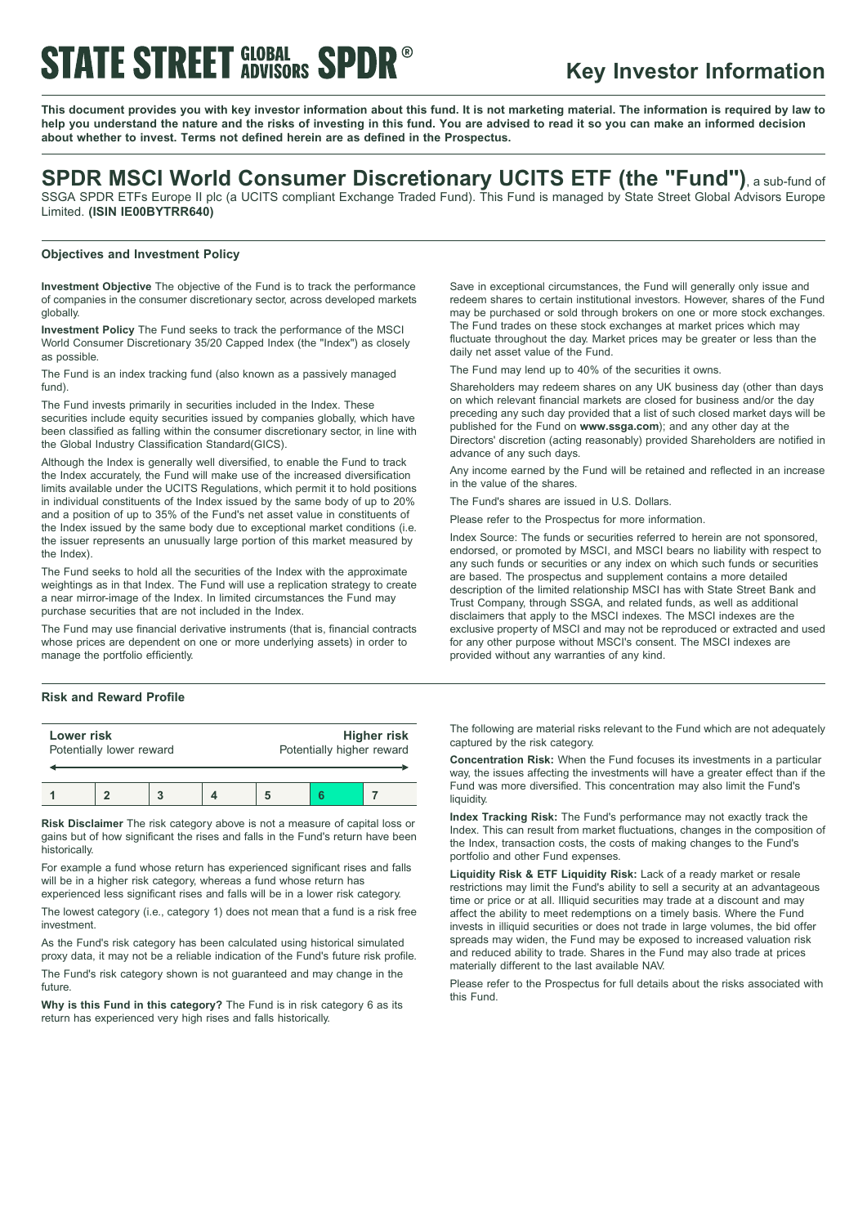# **STATE STREET GLOBAL SPDR**

## **Key Investor Information**

This document provides you with key investor information about this fund. It is not marketing material. The information is required by law to help you understand the nature and the risks of investing in this fund. You are advised to read it so you can make an informed decision **about whether to invest. Terms not defined herein are as defined in the Prospectus.**

## **SPDR MSCI World Consumer Discretionary UCITS ETF (the "Fund")**, <sup>a</sup> sub-fund of

SSGA SPDR ETFs Europe II plc (a UCITS compliant Exchange Traded Fund). This Fund is managed by State Street Global Advisors Europe Limited. **(ISIN IE00BYTRR640)**

### **Objectives and Investment Policy**

**Investment Objective** The objective of the Fund is to track the performance of companies in the consumer discretionary sector, across developed markets globally.

**Investment Policy** The Fund seeks to track the performance of the MSCI World Consumer Discretionary 35/20 Capped Index (the "Index") as closely as possible.

The Fund is an index tracking fund (also known as a passively managed fund).

The Fund invests primarily in securities included in the Index. These securities include equity securities issued by companies globally, which have been classified as falling within the consumer discretionary sector, in line with the Global Industry Classification Standard(GICS).

Although the Index is generally well diversified, to enable the Fund to track the Index accurately, the Fund will make use of the increased diversification limits available under the UCITS Regulations, which permit it to hold positions in individual constituents of the Index issued by the same body of up to 20% and a position of up to 35% of the Fund's net asset value in constituents of the Index issued by the same body due to exceptional market conditions (i.e. the issuer represents an unusually large portion of this market measured by the Index).

The Fund seeks to hold all the securities of the Index with the approximate weightings as in that Index. The Fund will use a replication strategy to create a near mirror-image of the Index. In limited circumstances the Fund may purchase securities that are not included in the Index.

The Fund may use financial derivative instruments (that is, financial contracts whose prices are dependent on one or more underlying assets) in order to manage the portfolio efficiently.

### **Risk and Reward Profile**

| Lower risk               |  |  |  | <b>Higher risk</b>        |  |  |
|--------------------------|--|--|--|---------------------------|--|--|
| Potentially lower reward |  |  |  | Potentially higher reward |  |  |
|                          |  |  |  |                           |  |  |

**Risk Disclaimer** The risk category above is not a measure of capital loss or gains but of how significant the rises and falls in the Fund's return have been historically.

For example a fund whose return has experienced significant rises and falls will be in a higher risk category, whereas a fund whose return has experienced less significant rises and falls will be in a lower risk category.

The lowest category (i.e., category 1) does not mean that a fund is a risk free investment.

As the Fund's risk category has been calculated using historical simulated proxy data, it may not be a reliable indication of the Fund's future risk profile.

The Fund's risk category shown is not guaranteed and may change in the future

**Why is this Fund in this category?** The Fund is in risk category 6 as its return has experienced very high rises and falls historically.

Save in exceptional circumstances, the Fund will generally only issue and redeem shares to certain institutional investors. However, shares of the Fund may be purchased or sold through brokers on one or more stock exchanges. The Fund trades on these stock exchanges at market prices which may fluctuate throughout the day. Market prices may be greater or less than the daily net asset value of the Fund.

The Fund may lend up to 40% of the securities it owns.

Shareholders may redeem shares on any UK business day (other than days on which relevant financial markets are closed for business and/or the day preceding any such day provided that a list of such closed market days will be published for the Fund on **www.ssga.com**); and any other day at the Directors' discretion (acting reasonably) provided Shareholders are notified in advance of any such days.

Any income earned by the Fund will be retained and reflected in an increase in the value of the shares.

The Fund's shares are issued in U.S. Dollars.

Please refer to the Prospectus for more information.

Index Source: The funds or securities referred to herein are not sponsored, endorsed, or promoted by MSCI, and MSCI bears no liability with respect to any such funds or securities or any index on which such funds or securities are based. The prospectus and supplement contains a more detailed description of the limited relationship MSCI has with State Street Bank and Trust Company, through SSGA, and related funds, as well as additional disclaimers that apply to the MSCI indexes. The MSCI indexes are the exclusive property of MSCI and may not be reproduced or extracted and used for any other purpose without MSCI's consent. The MSCI indexes are provided without any warranties of any kind.

The following are material risks relevant to the Fund which are not adequately captured by the risk category.

**Concentration Risk:** When the Fund focuses its investments in a particular way, the issues affecting the investments will have a greater effect than if the Fund was more diversified. This concentration may also limit the Fund's liquidity.

**Index Tracking Risk:** The Fund's performance may not exactly track the Index. This can result from market fluctuations, changes in the composition of the Index, transaction costs, the costs of making changes to the Fund's portfolio and other Fund expenses.

**Liquidity Risk & ETF Liquidity Risk:** Lack of a ready market or resale restrictions may limit the Fund's ability to sell a security at an advantageous time or price or at all. Illiquid securities may trade at a discount and may affect the ability to meet redemptions on a timely basis. Where the Fund invests in illiquid securities or does not trade in large volumes, the bid offer spreads may widen, the Fund may be exposed to increased valuation risk and reduced ability to trade. Shares in the Fund may also trade at prices materially different to the last available NAV.

Please refer to the Prospectus for full details about the risks associated with this Fund.